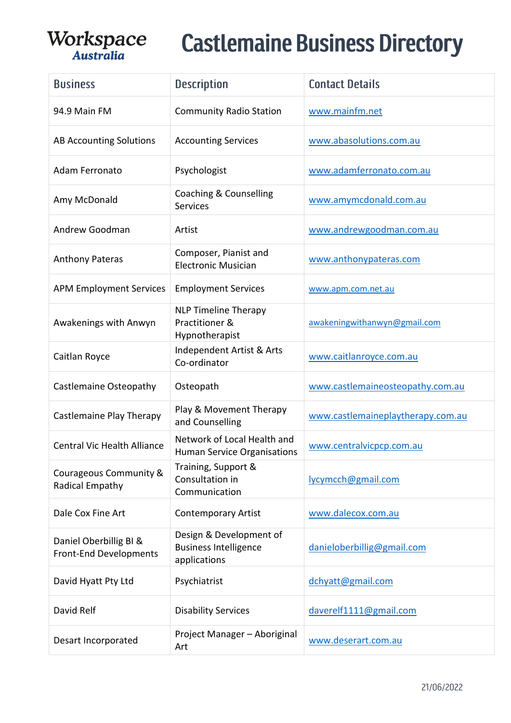| <b>Business</b>                                         | <b>Description</b>                                                      | <b>Contact Details</b>            |
|---------------------------------------------------------|-------------------------------------------------------------------------|-----------------------------------|
| 94.9 Main FM                                            | <b>Community Radio Station</b>                                          | www.mainfm.net                    |
| <b>AB Accounting Solutions</b>                          | <b>Accounting Services</b>                                              | www.abasolutions.com.au           |
| Adam Ferronato                                          | Psychologist                                                            | www.adamferronato.com.au          |
| Amy McDonald                                            | Coaching & Counselling<br><b>Services</b>                               | www.amymcdonald.com.au            |
| Andrew Goodman                                          | Artist                                                                  | www.andrewgoodman.com.au          |
| <b>Anthony Pateras</b>                                  | Composer, Pianist and<br><b>Electronic Musician</b>                     | www.anthonypateras.com            |
| <b>APM Employment Services</b>                          | <b>Employment Services</b>                                              | www.apm.com.net.au                |
| Awakenings with Anwyn                                   | <b>NLP Timeline Therapy</b><br>Practitioner &<br>Hypnotherapist         | awakeningwithanwyn@gmail.com      |
| Caitlan Royce                                           | Independent Artist & Arts<br>Co-ordinator                               | www.caitlanroyce.com.au           |
| Castlemaine Osteopathy                                  | Osteopath                                                               | www.castlemaineosteopathy.com.au  |
| Castlemaine Play Therapy                                | Play & Movement Therapy<br>and Counselling                              | www.castlemaineplaytherapy.com.au |
| <b>Central Vic Health Alliance</b>                      | Network of Local Health and<br><b>Human Service Organisations</b>       | www.centralvicpcp.com.au          |
| Courageous Community &<br>Radical Empathy               | Training, Support &<br>Consultation in<br>Communication                 | lycymcch@gmail.com                |
| Dale Cox Fine Art                                       | <b>Contemporary Artist</b>                                              | www.dalecox.com.au                |
| Daniel Oberbillig BI &<br><b>Front-End Developments</b> | Design & Development of<br><b>Business Intelligence</b><br>applications | danieloberbillig@gmail.com        |
| David Hyatt Pty Ltd                                     | Psychiatrist                                                            | dchyatt@gmail.com                 |
| David Relf                                              | <b>Disability Services</b>                                              | daverelf1111@gmail.com            |
| Desart Incorporated                                     | Project Manager - Aboriginal<br>Art                                     | www.deserart.com.au               |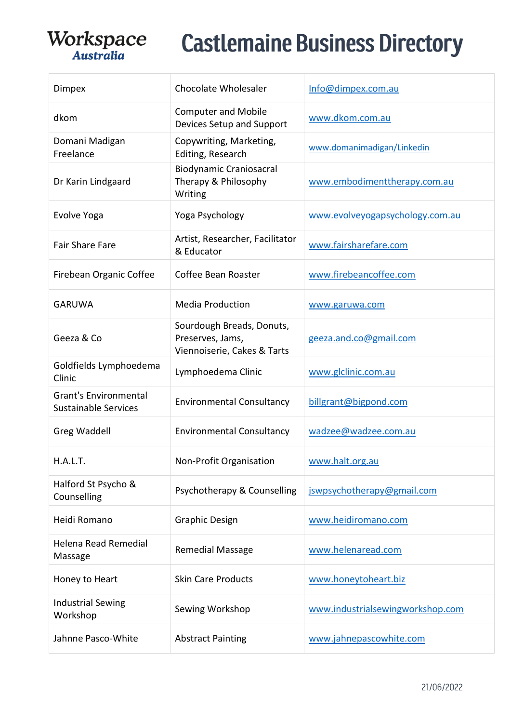| Dimpex                                                      | <b>Chocolate Wholesaler</b>                                                  | Info@dimpex.com.au               |
|-------------------------------------------------------------|------------------------------------------------------------------------------|----------------------------------|
| dkom                                                        | <b>Computer and Mobile</b><br>Devices Setup and Support                      | www.dkom.com.au                  |
| Domani Madigan<br>Freelance                                 | Copywriting, Marketing,<br>Editing, Research                                 | www.domanimadigan/Linkedin       |
| Dr Karin Lindgaard                                          | <b>Biodynamic Craniosacral</b><br>Therapy & Philosophy<br>Writing            | www.embodimenttherapy.com.au     |
| Evolve Yoga                                                 | Yoga Psychology                                                              | www.evolveyogapsychology.com.au  |
| <b>Fair Share Fare</b>                                      | Artist, Researcher, Facilitator<br>& Educator                                | www.fairsharefare.com            |
| Firebean Organic Coffee                                     | Coffee Bean Roaster                                                          | www.firebeancoffee.com           |
| <b>GARUWA</b>                                               | <b>Media Production</b>                                                      | www.garuwa.com                   |
| Geeza & Co                                                  | Sourdough Breads, Donuts,<br>Preserves, Jams,<br>Viennoiserie, Cakes & Tarts | geeza.and.co@gmail.com           |
| Goldfields Lymphoedema<br>Clinic                            | Lymphoedema Clinic                                                           | www.glclinic.com.au              |
| <b>Grant's Environmental</b><br><b>Sustainable Services</b> | <b>Environmental Consultancy</b>                                             | billgrant@bigpond.com            |
| Greg Waddell                                                | <b>Environmental Consultancy</b>                                             | wadzee@wadzee.com.au             |
| H.A.L.T.                                                    | Non-Profit Organisation                                                      | www.halt.org.au                  |
| Halford St Psycho &<br>Counselling                          | Psychotherapy & Counselling                                                  | jswpsychotherapy@gmail.com       |
| Heidi Romano                                                | <b>Graphic Design</b>                                                        | www.heidiromano.com              |
| Helena Read Remedial<br>Massage                             | <b>Remedial Massage</b>                                                      | www.helenaread.com               |
| Honey to Heart                                              | <b>Skin Care Products</b>                                                    | www.honeytoheart.biz             |
| <b>Industrial Sewing</b><br>Workshop                        | Sewing Workshop                                                              | www.industrialsewingworkshop.com |
| Jahnne Pasco-White                                          | <b>Abstract Painting</b>                                                     | www.jahnepascowhite.com          |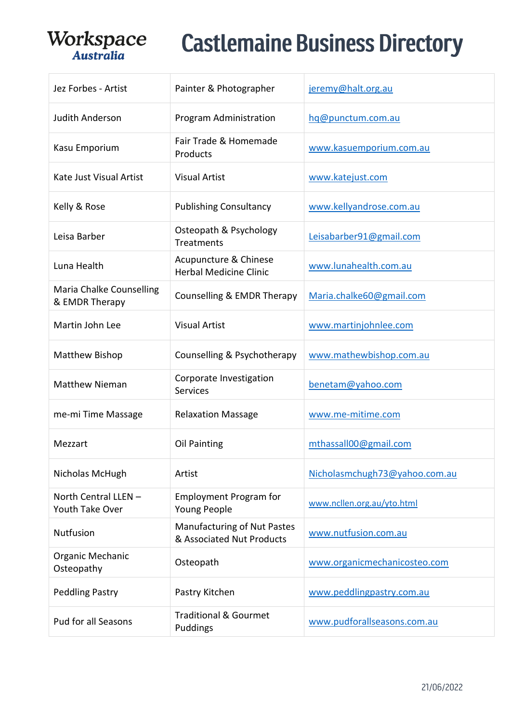| Jez Forbes - Artist                        | Painter & Photographer                                          | jeremy@halt.org.au            |
|--------------------------------------------|-----------------------------------------------------------------|-------------------------------|
| <b>Judith Anderson</b>                     | Program Administration                                          | hq@punctum.com.au             |
| Kasu Emporium                              | Fair Trade & Homemade<br>Products                               | www.kasuemporium.com.au       |
| Kate Just Visual Artist                    | <b>Visual Artist</b>                                            | www.katejust.com              |
| Kelly & Rose                               | <b>Publishing Consultancy</b>                                   | www.kellyandrose.com.au       |
| Leisa Barber                               | Osteopath & Psychology<br><b>Treatments</b>                     | Leisabarber91@gmail.com       |
| Luna Health                                | Acupuncture & Chinese<br><b>Herbal Medicine Clinic</b>          | www.lunahealth.com.au         |
| Maria Chalke Counselling<br>& EMDR Therapy | Counselling & EMDR Therapy                                      | Maria.chalke60@gmail.com      |
| Martin John Lee                            | <b>Visual Artist</b>                                            | www.martinjohnlee.com         |
| Matthew Bishop                             | Counselling & Psychotherapy                                     | www.mathewbishop.com.au       |
| <b>Matthew Nieman</b>                      | Corporate Investigation<br><b>Services</b>                      | benetam@yahoo.com             |
| me-mi Time Massage                         | <b>Relaxation Massage</b>                                       | www.me-mitime.com             |
| Mezzart                                    | Oil Painting                                                    | mthassall00@gmail.com         |
| Nicholas McHugh                            | Artist                                                          | Nicholasmchugh73@yahoo.com.au |
| North Central LLEN -<br>Youth Take Over    | <b>Employment Program for</b><br>Young People                   | www.ncllen.org.au/yto.html    |
| Nutfusion                                  | <b>Manufacturing of Nut Pastes</b><br>& Associated Nut Products | www.nutfusion.com.au          |
| Organic Mechanic<br>Osteopathy             | Osteopath                                                       | www.organicmechanicosteo.com  |
| <b>Peddling Pastry</b>                     | Pastry Kitchen                                                  | www.peddlingpastry.com.au     |
| Pud for all Seasons                        | <b>Traditional &amp; Gourmet</b><br>Puddings                    | www.pudforallseasons.com.au   |